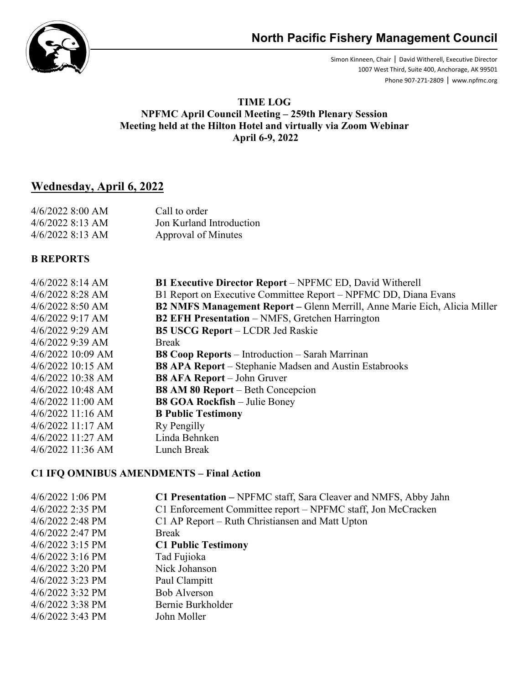

Simon Kinneen, Chair ǀ David Witherell, Executive Director 1007 West Third, Suite 400, Anchorage, AK 99501 Phone 907-271-2809 ǀ www.npfmc.org

#### **TIME LOG NPFMC April Council Meeting – 259th Plenary Session Meeting held at the Hilton Hotel and virtually via Zoom Webinar April 6-9, 2022**

# **Wednesday, April 6, 2022**

| $4/6/2022$ 8:00 AM | Call to order            |
|--------------------|--------------------------|
| $4/6/2022$ 8:13 AM | Jon Kurland Introduction |
| $4/6/2022$ 8:13 AM | Approval of Minutes      |

### **B REPORTS**

| $4/6/2022$ 8:14 AM  | <b>B1 Executive Director Report</b> – NPFMC ED, David Witherell           |
|---------------------|---------------------------------------------------------------------------|
| $4/6/2022$ 8:28 AM  | B1 Report on Executive Committee Report – NPFMC DD, Diana Evans           |
| 4/6/2022 8:50 AM    | B2 NMFS Management Report – Glenn Merrill, Anne Marie Eich, Alicia Miller |
| $4/6/2022$ 9:17 AM  | <b>B2 EFH Presentation</b> – NMFS, Gretchen Harrington                    |
| $4/6/2022$ 9:29 AM  | <b>B5 USCG Report</b> - LCDR Jed Raskie                                   |
| $4/6/2022$ 9:39 AM  | <b>Break</b>                                                              |
| $4/6/2022$ 10:09 AM | <b>B8 Coop Reports</b> – Introduction – Sarah Marrinan                    |
| $4/6/2022$ 10:15 AM | <b>B8 APA Report</b> – Stephanie Madsen and Austin Estabrooks             |
| $4/6/2022$ 10:38 AM | <b>B8 AFA Report</b> – John Gruver                                        |
| $4/6/2022$ 10:48 AM | <b>B8 AM 80 Report</b> – Beth Concepcion                                  |
| $4/6/2022$ 11:00 AM | <b>B8 GOA Rockfish</b> – Julie Boney                                      |
| $4/6/2022$ 11:16 AM | <b>B</b> Public Testimony                                                 |
| $4/6/2022$ 11:17 AM | Ry Pengilly                                                               |
| $4/6/2022$ 11:27 AM | Linda Behnken                                                             |
| 4/6/2022 11:36 AM   | Lunch Break                                                               |
|                     |                                                                           |

#### **C1 IFQ OMNIBUS AMENDMENTS – Final Action**

| $4/6/2022$ 1:06 PM | C1 Presentation - NPFMC staff, Sara Cleaver and NMFS, Abby Jahn |
|--------------------|-----------------------------------------------------------------|
| 4/6/2022 2:35 PM   | C1 Enforcement Committee report – NPFMC staff, Jon McCracken    |
| 4/6/2022 2:48 PM   | C1 AP Report – Ruth Christiansen and Matt Upton                 |
| $4/6/2022$ 2:47 PM | <b>Break</b>                                                    |
| $4/6/2022$ 3:15 PM | <b>C1 Public Testimony</b>                                      |
| $4/6/2022$ 3:16 PM | Tad Fujioka                                                     |
| $4/6/2022$ 3:20 PM | Nick Johanson                                                   |
| $4/6/2022$ 3:23 PM | Paul Clampitt                                                   |
| $4/6/2022$ 3:32 PM | <b>Bob Alverson</b>                                             |
| $4/6/2022$ 3:38 PM | Bernie Burkholder                                               |
| $4/6/2022$ 3:43 PM | John Moller                                                     |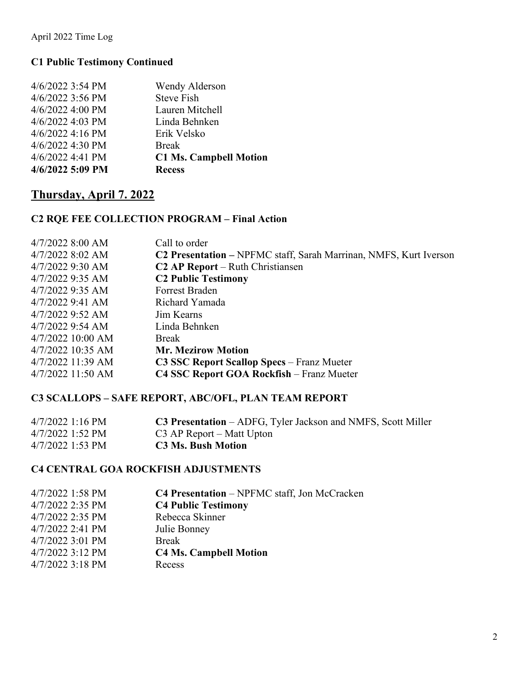### **C1 Public Testimony Continued**

| 4/6/2022 3:54 PM   | Wendy Alderson                |
|--------------------|-------------------------------|
| 4/6/2022 3:56 PM   | <b>Steve Fish</b>             |
| 4/6/2022 4:00 PM   | Lauren Mitchell               |
| $4/6/2022$ 4:03 PM | Linda Behnken                 |
| 4/6/2022 4:16 PM   | Erik Velsko                   |
| 4/6/2022 4:30 PM   | <b>Break</b>                  |
| $4/6/2022$ 4:41 PM | <b>C1 Ms. Campbell Motion</b> |
| 4/6/2022 5:09 PM   | <b>Recess</b>                 |

## **Thursday, April 7. 2022**

### **C2 RQE FEE COLLECTION PROGRAM – Final Action**

| Call to order                                                                 |
|-------------------------------------------------------------------------------|
| C <sub>2</sub> Presentation – NPFMC staff, Sarah Marrinan, NMFS, Kurt Iverson |
| <b>C2 AP Report</b> – Ruth Christiansen                                       |
| <b>C2 Public Testimony</b>                                                    |
| Forrest Braden                                                                |
| Richard Yamada                                                                |
| Jim Kearns                                                                    |
| Linda Behnken                                                                 |
| Break                                                                         |
| <b>Mr. Mezirow Motion</b>                                                     |
| <b>C3 SSC Report Scallop Specs - Franz Mueter</b>                             |
| C4 SSC Report GOA Rockfish - Franz Mueter                                     |
|                                                                               |

### **C3 SCALLOPS – SAFE REPORT, ABC/OFL, PLAN TEAM REPORT**

| $4/7/2022$ 1:16 PM | <b>C3 Presentation</b> – ADFG, Tyler Jackson and NMFS, Scott Miller |
|--------------------|---------------------------------------------------------------------|
| $4/7/2022$ 1:52 PM | C3 AP Report – Matt Upton                                           |
| $4/7/2022$ 1:53 PM | C3 Ms. Bush Motion                                                  |

### **C4 CENTRAL GOA ROCKFISH ADJUSTMENTS**

| 4/7/2022 1:58 PM   | C4 Presentation - NPFMC staff, Jon McCracken |
|--------------------|----------------------------------------------|
| 4/7/2022 2:35 PM   | <b>C4 Public Testimony</b>                   |
| $4/7/2022$ 2:35 PM | Rebecca Skinner                              |
| 4/7/2022 2:41 PM   | Julie Bonney                                 |
| 4/7/2022 3:01 PM   | <b>Break</b>                                 |
| $4/7/2022$ 3:12 PM | <b>C4 Ms. Campbell Motion</b>                |
| 4/7/2022 3:18 PM   | Recess                                       |
|                    |                                              |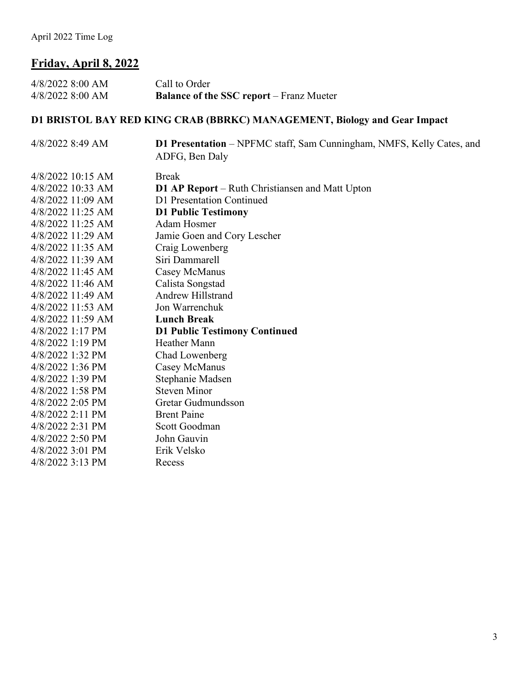# **Friday, April 8, 2022**

| 4/8/2022 8:00 AM | <b>Balance of the SSC report</b> – Franz Mueter |
|------------------|-------------------------------------------------|
| 4/8/2022 8:00 AM | Call to Order                                   |

# **D1 BRISTOL BAY RED KING CRAB (BBRKC) MANAGEMENT, Biology and Gear Impact**

| 4/8/2022 8:49 AM  | D1 Presentation – NPFMC staff, Sam Cunningham, NMFS, Kelly Cates, and<br>ADFG, Ben Daly |
|-------------------|-----------------------------------------------------------------------------------------|
| 4/8/2022 10:15 AM | <b>Break</b>                                                                            |
| 4/8/2022 10:33 AM | <b>D1 AP Report</b> – Ruth Christiansen and Matt Upton                                  |
| 4/8/2022 11:09 AM | D1 Presentation Continued                                                               |
| 4/8/2022 11:25 AM | <b>D1 Public Testimony</b>                                                              |
| 4/8/2022 11:25 AM | Adam Hosmer                                                                             |
| 4/8/2022 11:29 AM | Jamie Goen and Cory Lescher                                                             |
| 4/8/2022 11:35 AM | Craig Lowenberg                                                                         |
| 4/8/2022 11:39 AM | Siri Dammarell                                                                          |
| 4/8/2022 11:45 AM | Casey McManus                                                                           |
| 4/8/2022 11:46 AM | Calista Songstad                                                                        |
| 4/8/2022 11:49 AM | Andrew Hillstrand                                                                       |
| 4/8/2022 11:53 AM | Jon Warrenchuk                                                                          |
| 4/8/2022 11:59 AM | <b>Lunch Break</b>                                                                      |
| 4/8/2022 1:17 PM  | <b>D1 Public Testimony Continued</b>                                                    |
| 4/8/2022 1:19 PM  | Heather Mann                                                                            |
| 4/8/2022 1:32 PM  | Chad Lowenberg                                                                          |
| 4/8/2022 1:36 PM  | Casey McManus                                                                           |
| 4/8/2022 1:39 PM  | Stephanie Madsen                                                                        |
| 4/8/2022 1:58 PM  | <b>Steven Minor</b>                                                                     |
| 4/8/2022 2:05 PM  | Gretar Gudmundsson                                                                      |
| 4/8/2022 2:11 PM  | <b>Brent Paine</b>                                                                      |
| 4/8/2022 2:31 PM  | Scott Goodman                                                                           |
| 4/8/2022 2:50 PM  | John Gauvin                                                                             |
| 4/8/2022 3:01 PM  | Erik Velsko                                                                             |
| 4/8/2022 3:13 PM  | Recess                                                                                  |
|                   |                                                                                         |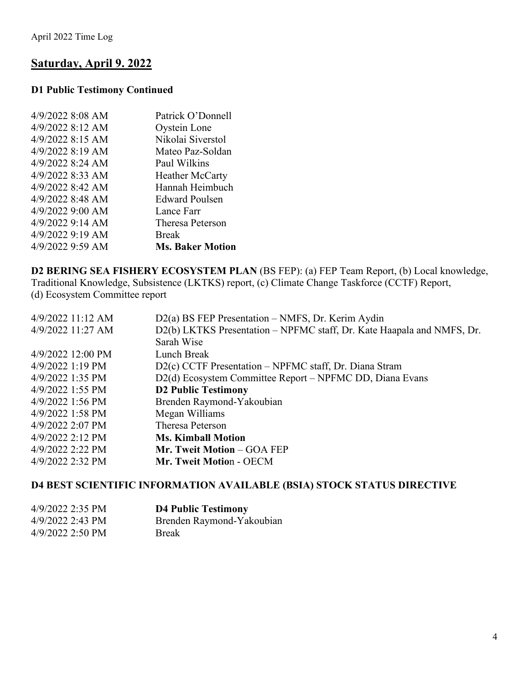# **Saturday, April 9. 2022**

#### **D1 Public Testimony Continued**

| 4/9/2022 8:08 AM   | Patrick O'Donnell       |
|--------------------|-------------------------|
| 4/9/2022 8:12 AM   | Oystein Lone            |
| 4/9/2022 8:15 AM   | Nikolai Siverstol       |
| $4/9/2022$ 8:19 AM | Mateo Paz-Soldan        |
| 4/9/2022 8:24 AM   | Paul Wilkins            |
| 4/9/2022 8:33 AM   | Heather McCarty         |
| 4/9/2022 8:42 AM   | Hannah Heimbuch         |
| 4/9/2022 8:48 AM   | <b>Edward Poulsen</b>   |
| 4/9/2022 9:00 AM   | Lance Farr              |
| 4/9/2022 9:14 AM   | Theresa Peterson        |
| 4/9/2022 9:19 AM   | <b>Break</b>            |
| 4/9/2022 9:59 AM   | <b>Ms. Baker Motion</b> |

**D2 BERING SEA FISHERY ECOSYSTEM PLAN** (BS FEP): (a) FEP Team Report, (b) Local knowledge, Traditional Knowledge, Subsistence (LKTKS) report, (c) Climate Change Taskforce (CCTF) Report, (d) Ecosystem Committee report

| 4/9/2022 11:12 AM   | $D2(a)$ BS FEP Presentation – NMFS, Dr. Kerim Aydin                    |
|---------------------|------------------------------------------------------------------------|
| 4/9/2022 11:27 AM   | D2(b) LKTKS Presentation – NPFMC staff, Dr. Kate Haapala and NMFS, Dr. |
|                     | Sarah Wise                                                             |
| $4/9/2022$ 12:00 PM | Lunch Break                                                            |
| $4/9/2022$ 1:19 PM  | D2(c) CCTF Presentation – NPFMC staff, Dr. Diana Stram                 |
| $4/9/2022$ 1:35 PM  | D2(d) Ecosystem Committee Report - NPFMC DD, Diana Evans               |
| $4/9/2022$ 1:55 PM  | <b>D2 Public Testimony</b>                                             |
| 4/9/2022 1:56 PM    | Brenden Raymond-Yakoubian                                              |
| $4/9/2022$ 1:58 PM  | Megan Williams                                                         |
| $4/9/2022$ 2:07 PM  | Theresa Peterson                                                       |
| $4/9/2022$ 2:12 PM  | <b>Ms. Kimball Motion</b>                                              |
| 4/9/2022 2:22 PM    | <b>Mr. Tweit Motion – GOA FEP</b>                                      |
| $4/9/2022$ 2:32 PM  | <b>Mr. Tweit Motion - OECM</b>                                         |
|                     |                                                                        |

#### **D4 BEST SCIENTIFIC INFORMATION AVAILABLE (BSIA) STOCK STATUS DIRECTIVE**

| 4/9/2022 2:35 PM | <b>D4 Public Testimony</b> |
|------------------|----------------------------|
| 4/9/2022 2:43 PM | Brenden Raymond-Yakoubian  |
| 4/9/2022 2:50 PM | <b>Break</b>               |